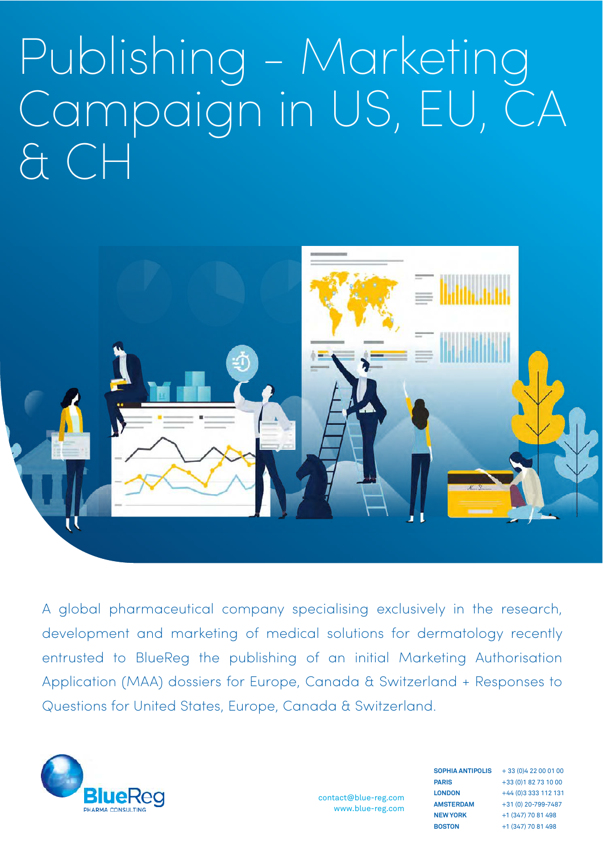# Publishing - Marketing Campaign in US, EU, CA & CH



A global pharmaceutical company specialising exclusively in the research, development and marketing of medical solutions for dermatology recently entrusted to BlueReg the publishing of an initial Marketing Authorisation Application (MAA) dossiers for Europe, Canada & Switzerland + Responses to Questions for United States, Europe, Canada & Switzerland.



contact@blue-reg.com www.blue-reg.com **PARIS LONDON AMSTERDAM NEW YORK BOSTON**

+ 33 (0)4 22 00 01 00 **SOPHIA ANTIPOLIS** +33 (0)1 82 73 10 00 +44 (0)3 333 112 131 +31 (0) 20-799-7487 +1 (347) 70 81 498 +1 (347) 70 81 498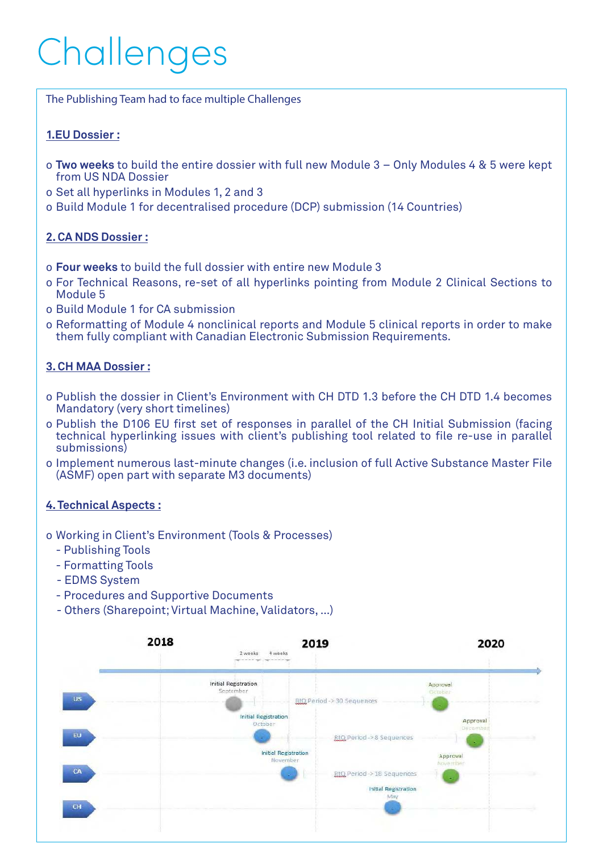## Challenges

The Publishing Team had to face multiple Challenges

#### **1.EU Dossier :**

- o **Two weeks** to build the entire dossier with full new Module 3 Only Modules 4 & 5 were kept from US NDA Dossier
- o Set all hyperlinks in Modules 1, 2 and 3
- o Build Module 1 for decentralised procedure (DCP) submission (14 Countries)

#### **2. CA NDS Dossier :**

- o **Four weeks** to build the full dossier with entire new Module 3
- o For Technical Reasons, re-set of all hyperlinks pointing from Module 2 Clinical Sections to Module 5
- o Build Module 1 for CA submission
- o Reformatting of Module 4 nonclinical reports and Module 5 clinical reports in order to make them fully compliant with Canadian Electronic Submission Requirements.

#### **3. CH MAA Dossier :**

- o Publish the dossier in Client's Environment with CH DTD 1.3 before the CH DTD 1.4 becomes Mandatory (very short timelines)
- o Publish the D106 EU first set of responses in parallel of the CH Initial Submission (facing technical hyperlinking issues with client's publishing tool related to file re-use in parallel submissions)
- o Implement numerous last-minute changes (i.e. inclusion of full Active Substance Master File (ASMF) open part with separate M3 documents)

#### **4. Technical Aspects :**

#### o Working in Client's Environment (Tools & Processes)

- Publishing Tools
- Formatting Tools
- EDMS System
- Procedures and Supportive Documents
- Others (Sharepoint; Virtual Machine, Validators, …)

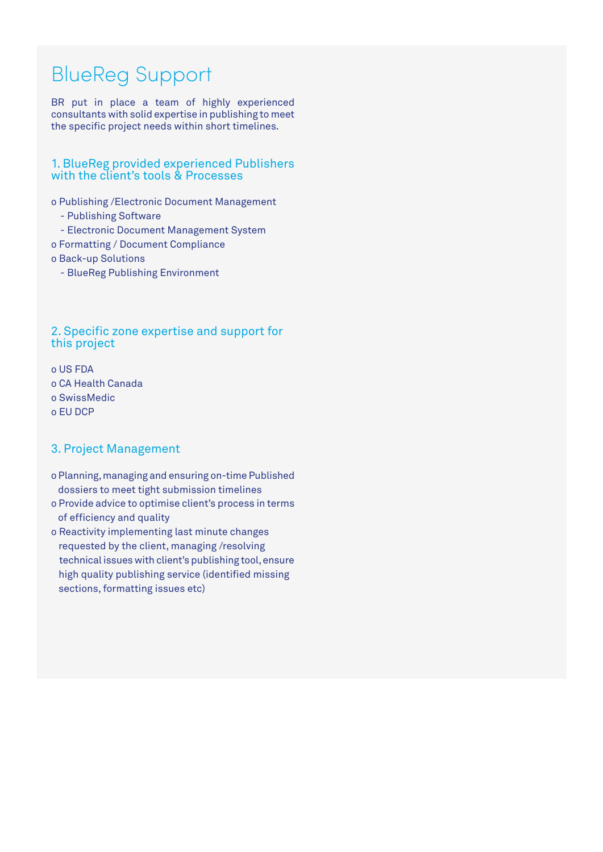## BlueReg Support

BR put in place a team of highly experienced consultants with solid expertise in publishing to meet the specific project needs within short timelines.

#### 1. BlueReg provided experienced Publishers with the client's tools & Processes

o Publishing /Electronic Document Management

- Publishing Software
- Electronic Document Management System
- o Formatting / Document Compliance
- o Back-up Solutions
	- BlueReg Publishing Environment

#### 2. Specific zone expertise and support for this project

o US FDA o CA Health Canada o SwissMedic o EU DCP

#### 3. Project Management

- o Planning, managing and ensuring on-time Published dossiers to meet tight submission timelines
- o Provide advice to optimise client's process in terms of efficiency and quality
- o Reactivity implementing last minute changes requested by the client, managing /resolving technical issues with client's publishing tool, ensure high quality publishing service (identified missing sections, formatting issues etc)